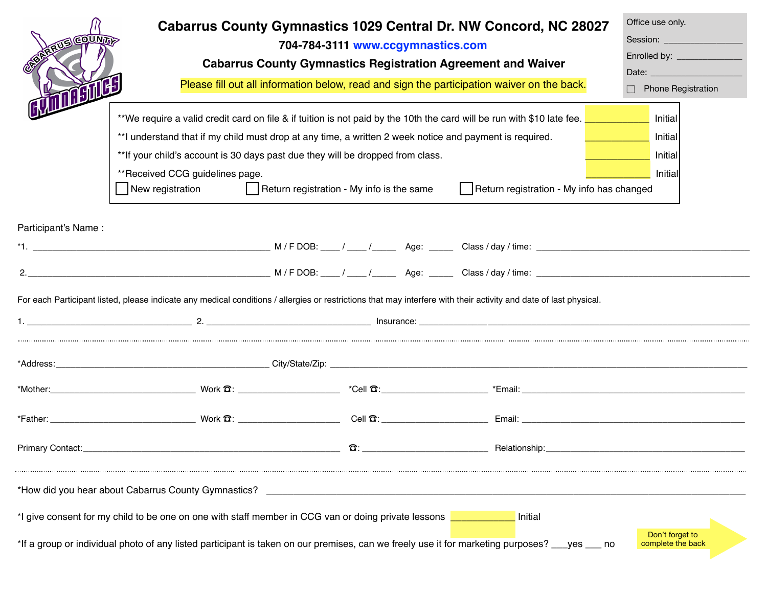| <b>TIS COUNT</b><br><b>TO BULL</b> | Cabarrus County Gymnastics 1029 Central Dr. NW Concord, NC 28027<br>704-784-3111 www.ccgymnastics.com<br><b>Cabarrus County Gymnastics Registration Agreement and Waiver</b><br>Please fill out all information below, read and sign the participation waiver on the back.<br>**We require a valid credit card on file & if tuition is not paid by the 10th the card will be run with \$10 late fee. <b>The annument of the state of the state of the state of the state of the state of the state of the state</b><br>**I understand that if my child must drop at any time, a written 2 week notice and payment is required.<br>** If your child's account is 30 days past due they will be dropped from class.<br>**Received CCG guidelines page. |                                           |            |  |                                                                                                                                                                   | Office use only.<br>Session: ____________________<br>Enrolled by: ______________<br>Date: New York Products and Security Products and Security Products and Security Products and Security Products<br>Phone Registration<br>Initial<br>Initial<br>Initial<br><b>Initial</b> |
|------------------------------------|------------------------------------------------------------------------------------------------------------------------------------------------------------------------------------------------------------------------------------------------------------------------------------------------------------------------------------------------------------------------------------------------------------------------------------------------------------------------------------------------------------------------------------------------------------------------------------------------------------------------------------------------------------------------------------------------------------------------------------------------------|-------------------------------------------|------------|--|-------------------------------------------------------------------------------------------------------------------------------------------------------------------|------------------------------------------------------------------------------------------------------------------------------------------------------------------------------------------------------------------------------------------------------------------------------|
|                                    | New registration                                                                                                                                                                                                                                                                                                                                                                                                                                                                                                                                                                                                                                                                                                                                     | Return registration - My info is the same |            |  | Return registration - My info has changed                                                                                                                         |                                                                                                                                                                                                                                                                              |
| Participant's Name:                |                                                                                                                                                                                                                                                                                                                                                                                                                                                                                                                                                                                                                                                                                                                                                      |                                           |            |  | For each Participant listed, please indicate any medical conditions / allergies or restrictions that may interfere with their activity and date of last physical. |                                                                                                                                                                                                                                                                              |
|                                    |                                                                                                                                                                                                                                                                                                                                                                                                                                                                                                                                                                                                                                                                                                                                                      |                                           |            |  |                                                                                                                                                                   |                                                                                                                                                                                                                                                                              |
|                                    |                                                                                                                                                                                                                                                                                                                                                                                                                                                                                                                                                                                                                                                                                                                                                      |                                           |            |  |                                                                                                                                                                   |                                                                                                                                                                                                                                                                              |
|                                    |                                                                                                                                                                                                                                                                                                                                                                                                                                                                                                                                                                                                                                                                                                                                                      |                                           |            |  |                                                                                                                                                                   |                                                                                                                                                                                                                                                                              |
| Primary Contact:                   |                                                                                                                                                                                                                                                                                                                                                                                                                                                                                                                                                                                                                                                                                                                                                      |                                           | <u>ក</u> : |  | Relationship:                                                                                                                                                     |                                                                                                                                                                                                                                                                              |
|                                    | *How did you hear about Cabarrus County Gymnastics?<br>*I give consent for my child to be one on one with staff member in CCG van or doing private lessons                                                                                                                                                                                                                                                                                                                                                                                                                                                                                                                                                                                           |                                           |            |  | Initial<br>*If a group or individual photo of any listed participant is taken on our premises, can we freely use it for marketing purposes? ___yes ___ no         | Don't forget to<br>complete the back                                                                                                                                                                                                                                         |